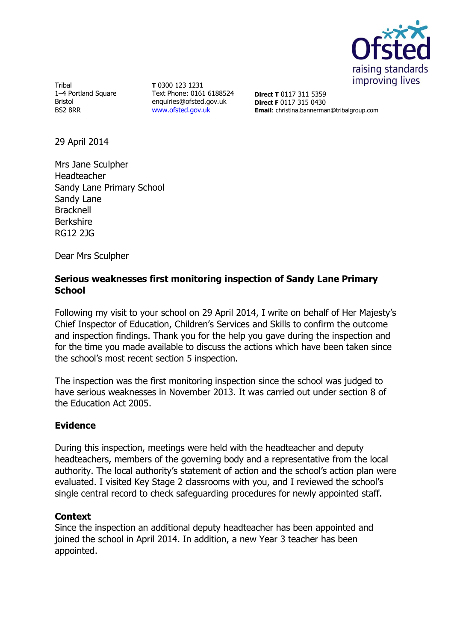

Tribal 1–4 Portland Square Bristol BS2 8RR

**T** 0300 123 1231 Text Phone: 0161 6188524 enquiries@ofsted.gov.uk [www.ofsted.gov.uk](http://www.ofsted.gov.uk/)

**Direct T** 0117 311 5359 **Direct F** 0117 315 0430 **Email**: christina.bannerman@tribalgroup.com

29 April 2014

Mrs Jane Sculpher Headteacher Sandy Lane Primary School Sandy Lane Bracknell Berkshire RG12 2JG

Dear Mrs Sculpher

## **Serious weaknesses first monitoring inspection of Sandy Lane Primary School**

Following my visit to your school on 29 April 2014, I write on behalf of Her Majesty's Chief Inspector of Education, Children's Services and Skills to confirm the outcome and inspection findings. Thank you for the help you gave during the inspection and for the time you made available to discuss the actions which have been taken since the school's most recent section 5 inspection.

The inspection was the first monitoring inspection since the school was judged to have serious weaknesses in November 2013. It was carried out under section 8 of the Education Act 2005.

## **Evidence**

During this inspection, meetings were held with the headteacher and deputy headteachers, members of the governing body and a representative from the local authority. The local authority's statement of action and the school's action plan were evaluated. I visited Key Stage 2 classrooms with you, and I reviewed the school's single central record to check safeguarding procedures for newly appointed staff.

## **Context**

Since the inspection an additional deputy headteacher has been appointed and joined the school in April 2014. In addition, a new Year 3 teacher has been appointed.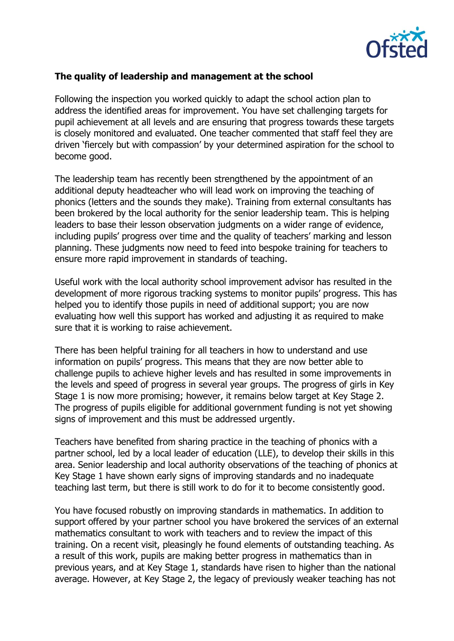

## **The quality of leadership and management at the school**

Following the inspection you worked quickly to adapt the school action plan to address the identified areas for improvement. You have set challenging targets for pupil achievement at all levels and are ensuring that progress towards these targets is closely monitored and evaluated. One teacher commented that staff feel they are driven 'fiercely but with compassion' by your determined aspiration for the school to become good.

The leadership team has recently been strengthened by the appointment of an additional deputy headteacher who will lead work on improving the teaching of phonics (letters and the sounds they make). Training from external consultants has been brokered by the local authority for the senior leadership team. This is helping leaders to base their lesson observation judgments on a wider range of evidence, including pupils' progress over time and the quality of teachers' marking and lesson planning. These judgments now need to feed into bespoke training for teachers to ensure more rapid improvement in standards of teaching.

Useful work with the local authority school improvement advisor has resulted in the development of more rigorous tracking systems to monitor pupils' progress. This has helped you to identify those pupils in need of additional support; you are now evaluating how well this support has worked and adjusting it as required to make sure that it is working to raise achievement.

There has been helpful training for all teachers in how to understand and use information on pupils' progress. This means that they are now better able to challenge pupils to achieve higher levels and has resulted in some improvements in the levels and speed of progress in several year groups. The progress of girls in Key Stage 1 is now more promising; however, it remains below target at Key Stage 2. The progress of pupils eligible for additional government funding is not yet showing signs of improvement and this must be addressed urgently.

Teachers have benefited from sharing practice in the teaching of phonics with a partner school, led by a local leader of education (LLE), to develop their skills in this area. Senior leadership and local authority observations of the teaching of phonics at Key Stage 1 have shown early signs of improving standards and no inadequate teaching last term, but there is still work to do for it to become consistently good.

You have focused robustly on improving standards in mathematics. In addition to support offered by your partner school you have brokered the services of an external mathematics consultant to work with teachers and to review the impact of this training. On a recent visit, pleasingly he found elements of outstanding teaching. As a result of this work, pupils are making better progress in mathematics than in previous years, and at Key Stage 1, standards have risen to higher than the national average. However, at Key Stage 2, the legacy of previously weaker teaching has not